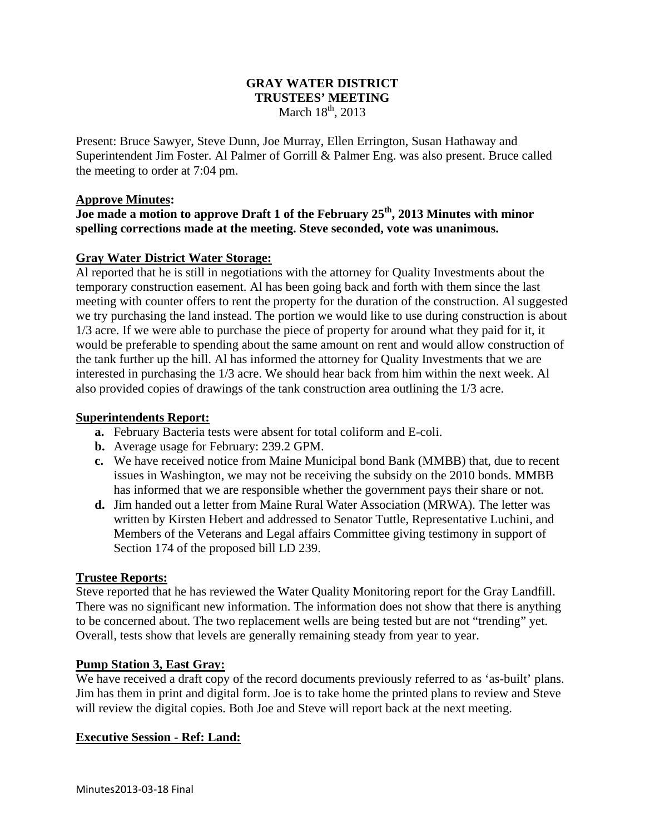# **GRAY WATER DISTRICT TRUSTEES' MEETING**  March  $18<sup>th</sup>$ , 2013

Present: Bruce Sawyer, Steve Dunn, Joe Murray, Ellen Errington, Susan Hathaway and Superintendent Jim Foster. Al Palmer of Gorrill & Palmer Eng. was also present. Bruce called the meeting to order at 7:04 pm.

# **Approve Minutes:**

**Joe made a motion to approve Draft 1 of the February 25th, 2013 Minutes with minor spelling corrections made at the meeting. Steve seconded, vote was unanimous.** 

# **Gray Water District Water Storage:**

Al reported that he is still in negotiations with the attorney for Quality Investments about the temporary construction easement. Al has been going back and forth with them since the last meeting with counter offers to rent the property for the duration of the construction. Al suggested we try purchasing the land instead. The portion we would like to use during construction is about 1/3 acre. If we were able to purchase the piece of property for around what they paid for it, it would be preferable to spending about the same amount on rent and would allow construction of the tank further up the hill. Al has informed the attorney for Quality Investments that we are interested in purchasing the 1/3 acre. We should hear back from him within the next week. Al also provided copies of drawings of the tank construction area outlining the 1/3 acre.

#### **Superintendents Report:**

- **a.** February Bacteria tests were absent for total coliform and E-coli.
- **b.** Average usage for February: 239.2 GPM.
- **c.** We have received notice from Maine Municipal bond Bank (MMBB) that, due to recent issues in Washington, we may not be receiving the subsidy on the 2010 bonds. MMBB has informed that we are responsible whether the government pays their share or not.
- **d.** Jim handed out a letter from Maine Rural Water Association (MRWA). The letter was written by Kirsten Hebert and addressed to Senator Tuttle, Representative Luchini, and Members of the Veterans and Legal affairs Committee giving testimony in support of Section 174 of the proposed bill LD 239.

# **Trustee Reports:**

Steve reported that he has reviewed the Water Quality Monitoring report for the Gray Landfill. There was no significant new information. The information does not show that there is anything to be concerned about. The two replacement wells are being tested but are not "trending" yet. Overall, tests show that levels are generally remaining steady from year to year.

# **Pump Station 3, East Gray:**

We have received a draft copy of the record documents previously referred to as 'as-built' plans. Jim has them in print and digital form. Joe is to take home the printed plans to review and Steve will review the digital copies. Both Joe and Steve will report back at the next meeting.

# **Executive Session - Ref: Land:**